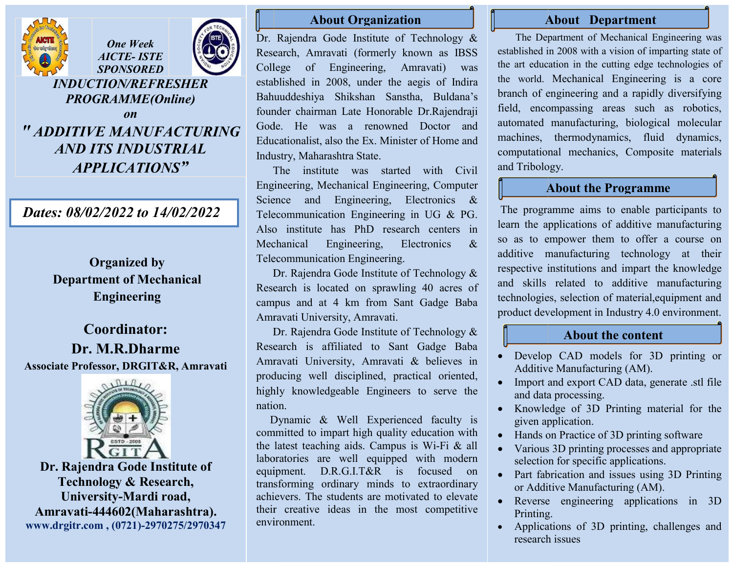



J

## INDUCTION/REFRESHER PROGRAMME(Online) **on** *on on*

# " ADDITIVE MANUFACTURING AND ITS INDUSTRIAL APPLICATIONS"

## Dates: 08/02/2022 to 14/02/2022

j

Organized by Department of Mechanical Engineering

## Coordinator: Dr. M.R.Dharme Associate Professor, DRGIT&R, Amravati



Dr. Rajendra Gode Institute of Technology & Research, University-Mardi road, Amravati-444602(Maharashtra). www.drgitr.com , (0721)-2970275/2970347

### About Organization

Dr. Rajendra Gode Institute of Technology & Research, Research, Amravati (formerly known as IBSS College of Engineering, Amravati) was established in 2008, under the aegis of Indira Bahuuddeshiya Shikshan Sanstha, Buldana's founder chairman Late Honorable Dr.Rajendraji Gode. He was a renowned Doctor and Educationalist, also the Ex. Minister of Home and Industry, Maharashtra State.

The institute was started with Civil Engineering, Mechanical Engineering, Computer Science and Engineering, Electronics & Engineering, Mechanical Engineering, Computer<br>Science and Engineering, Electronics &<br>Telecommunication Engineering in UG & PG. Also institute has PhD research centers in Mechanical Engineering, Telecommunication Engineering. Electronics &

 Dr. Dr. Rajendra Gode Institute of Technology & Research is located on sprawling 40 acres of campus and campus at 4 km from Sant Gadge Baba Amravati U University, Amravati.

 Dr. Dr. Rajendra Gode Institute of Technology & Research is affiliated to Sant Gadge Gadge Baba Amravati University, Amravati & believes in producing well disciplined, practical oriented, highly knowledgeable Engineers to serve the nation.

 Dynamic & Well Experienced faculty is committed to impart high quality education with highly knowledgeable Engineers to serve the nation.<br>
Dynamic & Well Experienced faculty is<br>
committed to impart high quality education with<br>
the latest teaching aids. Campus is Wi-Fi & all laboratories are well equipped with modern laboratories equipment. D.R.G.I.T&R is focused on equipment. D.R.G.I.T&R is focused on transf transforming ordinary minds to extraordinary achievers. The students are motivated to elevate their creative ideas in the most competitive environment. achievers. The students are motivated to elevate their creative ideas in the most competitive environment.

### About Department

i<br>L

l

 The Department of Mechanical Engineering was established in 2008 with a vision of imparting state of the art education in the cutting edge technologies of the world. Mechanical Engineering is a core branch of engineering and a rapidly diversifying field, encompassing areas such as robotics, automated manufacturing, biological molecular machines, thermodynamics, fluid dynamics, computational mechanics, Composite materials and Tribology mated mar<br>hines, the<br>putational<br>Tribology.

### About the Programme

The programme aims to enable participants to learn the applications of additive manufacturing so as to empower them to offer a course on additive manufacturing manufacturing technology at their respective institutions and impart the knowledge and skills related to additive manufacturing technologies, selection of material, equipment and product deve development in Industry 4.0 environment.

### About the content

- Develop CAD models for 3D printing or Additive Manufacturing (AM).
- Import and export CAD data, generate .stl file and data processing.
- Knowledge of 3D Printing material for the given application.
- Hands on Practice of 3D printing software
- Various 3D printing processes and appropriate selection for specific applications.
- Part fabrication and issues using 3D Printing or Additive Manufactur Manufacturing (AM).
- Reverse engineering applications in 3D Printing.
- Applications of 3D printing, challenges and research issues